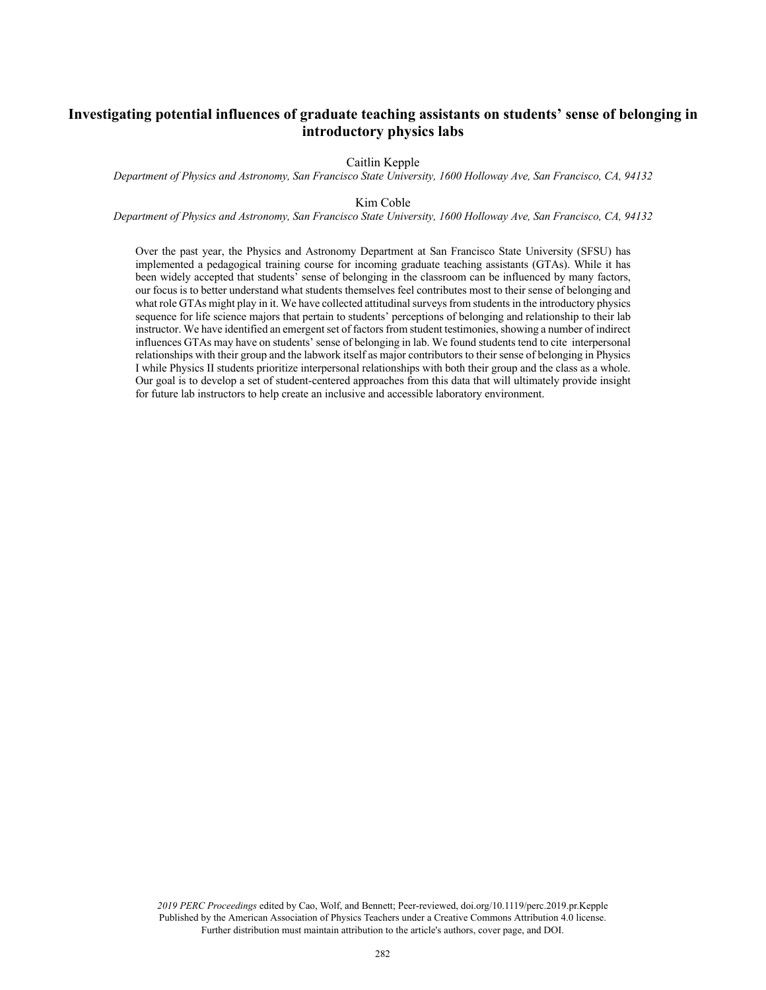# **Investigating potential influences of graduate teaching assistants on students' sense of belonging in introductory physics labs**

Caitlin Kepple

*Department of Physics and Astronomy, San Francisco State University, 1600 Holloway Ave, San Francisco, CA, 94132*

#### Kim Coble

*Department of Physics and Astronomy, San Francisco State University, 1600 Holloway Ave, San Francisco, CA, 94132*

Over the past year, the Physics and Astronomy Department at San Francisco State University (SFSU) has implemented a pedagogical training course for incoming graduate teaching assistants (GTAs). While it has been widely accepted that students' sense of belonging in the classroom can be influenced by many factors, our focus is to better understand what students themselves feel contributes most to their sense of belonging and what role GTAs might play in it. We have collected attitudinal surveys from students in the introductory physics sequence for life science majors that pertain to students' perceptions of belonging and relationship to their lab instructor. We have identified an emergent set of factors from student testimonies, showing a number of indirect influences GTAs may have on students' sense of belonging in lab. We found students tend to cite interpersonal relationships with their group and the labwork itself as major contributors to their sense of belonging in Physics I while Physics II students prioritize interpersonal relationships with both their group and the class as a whole. Our goal is to develop a set of student-centered approaches from this data that will ultimately provide insight for future lab instructors to help create an inclusive and accessible laboratory environment.

*2019 PERC Proceedings* edited by Cao, Wolf, and Bennett; Peer-reviewed, doi.org/10.1119/perc.2019.pr.Kepple Published by the American Association of Physics Teachers under a Creative Commons Attribution 4.0 license. Further distribution must maintain attribution to the article's authors, cover page, and DOI.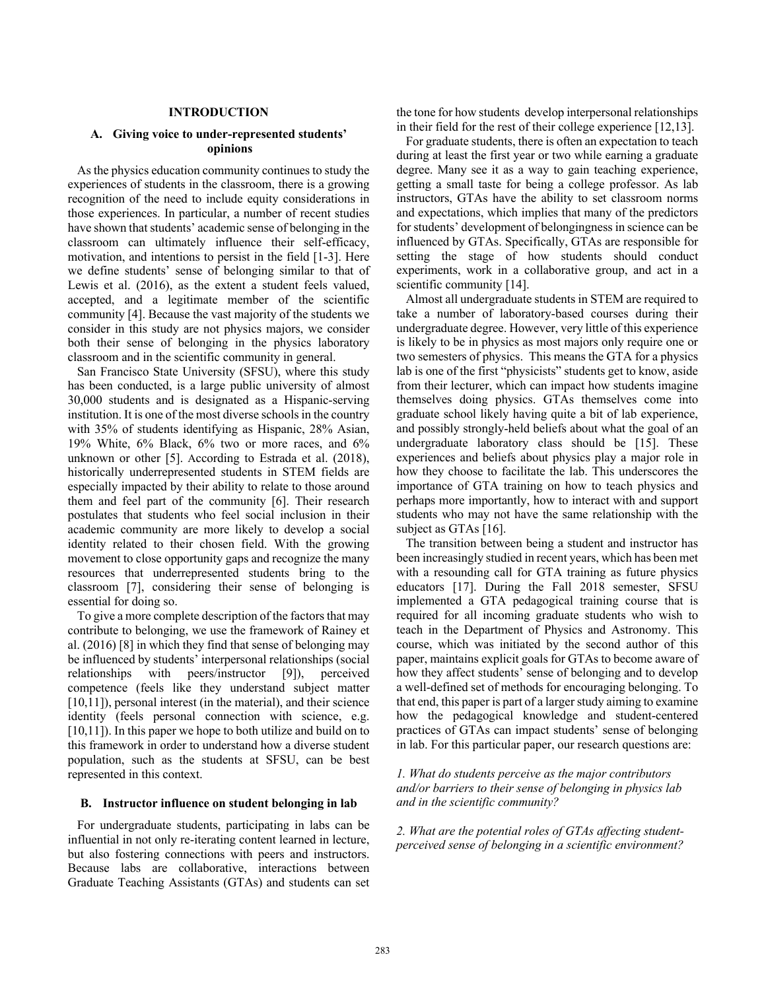### **INTRODUCTION**

# **A. Giving voice to under-represented students' opinions**

 As the physics education community continues to study the experiences of students in the classroom, there is a growing recognition of the need to include equity considerations in those experiences. In particular, a number of recent studies have shown that students' academic sense of belonging in the classroom can ultimately influence their self-efficacy, motivation, and intentions to persist in the field [1-3]. Here we define students' sense of belonging similar to that of Lewis et al. (2016), as the extent a student feels valued, accepted, and a legitimate member of the scientific community [4]. Because the vast majority of the students we consider in this study are not physics majors, we consider both their sense of belonging in the physics laboratory classroom and in the scientific community in general.

 San Francisco State University (SFSU), where this study has been conducted, is a large public university of almost 30,000 students and is designated as a Hispanic-serving institution. It is one of the most diverse schools in the country with 35% of students identifying as Hispanic, 28% Asian, 19% White, 6% Black, 6% two or more races, and 6% unknown or other [5]. According to Estrada et al. (2018), historically underrepresented students in STEM fields are especially impacted by their ability to relate to those around them and feel part of the community [6]. Their research postulates that students who feel social inclusion in their academic community are more likely to develop a social identity related to their chosen field. With the growing movement to close opportunity gaps and recognize the many resources that underrepresented students bring to the classroom [7], considering their sense of belonging is essential for doing so.

 To give a more complete description of the factors that may contribute to belonging, we use the framework of Rainey et al. (2016) [8] in which they find that sense of belonging may be influenced by students' interpersonal relationships (social relationships with peers/instructor [9]), perceived competence (feels like they understand subject matter [10,11]), personal interest (in the material), and their science identity (feels personal connection with science, e.g. [10,11]). In this paper we hope to both utilize and build on to this framework in order to understand how a diverse student population, such as the students at SFSU, can be best represented in this context.

### **B. Instructor influence on student belonging in lab**

 For undergraduate students, participating in labs can be influential in not only re-iterating content learned in lecture, but also fostering connections with peers and instructors. Because labs are collaborative, interactions between Graduate Teaching Assistants (GTAs) and students can set the tone for how students develop interpersonal relationships in their field for the rest of their college experience [12,13].

 For graduate students, there is often an expectation to teach during at least the first year or two while earning a graduate degree. Many see it as a way to gain teaching experience, getting a small taste for being a college professor. As lab instructors, GTAs have the ability to set classroom norms and expectations, which implies that many of the predictors for students' development of belongingness in science can be influenced by GTAs. Specifically, GTAs are responsible for setting the stage of how students should conduct experiments, work in a collaborative group, and act in a scientific community [14].

 Almost all undergraduate students in STEM are required to take a number of laboratory-based courses during their undergraduate degree. However, very little of this experience is likely to be in physics as most majors only require one or two semesters of physics. This means the GTA for a physics lab is one of the first "physicists" students get to know, aside from their lecturer, which can impact how students imagine themselves doing physics. GTAs themselves come into graduate school likely having quite a bit of lab experience, and possibly strongly-held beliefs about what the goal of an undergraduate laboratory class should be [15]. These experiences and beliefs about physics play a major role in how they choose to facilitate the lab. This underscores the importance of GTA training on how to teach physics and perhaps more importantly, how to interact with and support students who may not have the same relationship with the subject as GTAs [16].

 The transition between being a student and instructor has been increasingly studied in recent years, which has been met with a resounding call for GTA training as future physics educators [17]. During the Fall 2018 semester, SFSU implemented a GTA pedagogical training course that is required for all incoming graduate students who wish to teach in the Department of Physics and Astronomy. This course, which was initiated by the second author of this paper, maintains explicit goals for GTAs to become aware of how they affect students' sense of belonging and to develop a well-defined set of methods for encouraging belonging. To that end, this paper is part of a larger study aiming to examine how the pedagogical knowledge and student-centered practices of GTAs can impact students' sense of belonging in lab. For this particular paper, our research questions are:

# *1. What do students perceive as the major contributors and/or barriers to their sense of belonging in physics lab and in the scientific community?*

*2. What are the potential roles of GTAs affecting studentperceived sense of belonging in a scientific environment?*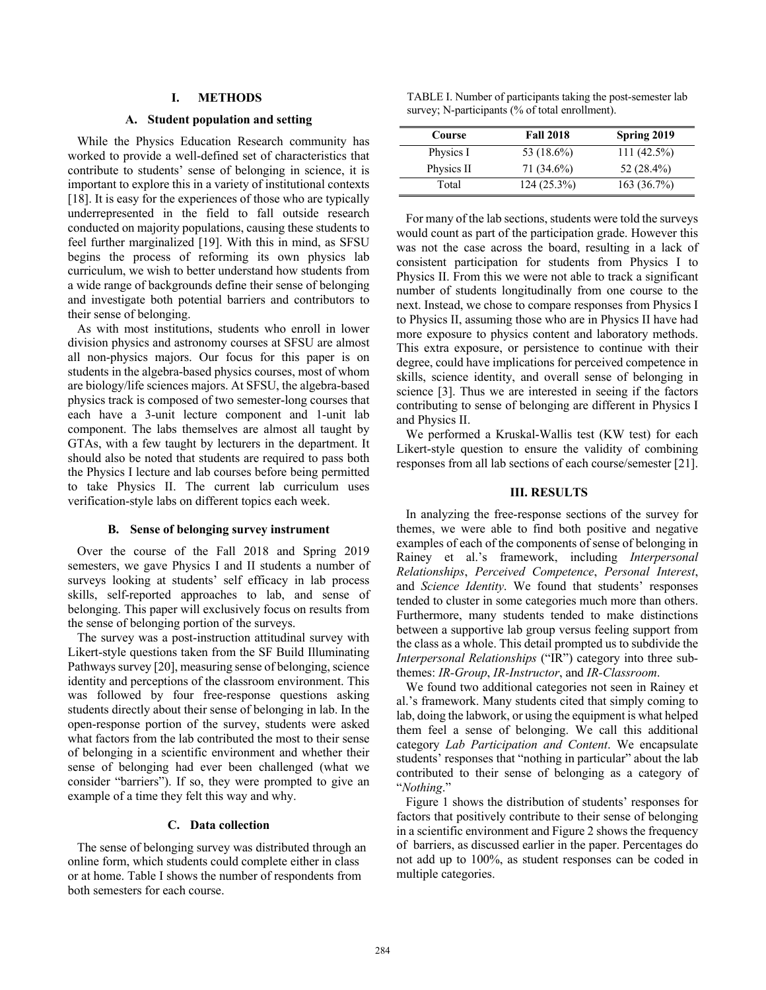### **I. METHODS**

# **A. Student population and setting**

 While the Physics Education Research community has worked to provide a well-defined set of characteristics that contribute to students' sense of belonging in science, it is important to explore this in a variety of institutional contexts [18]. It is easy for the experiences of those who are typically underrepresented in the field to fall outside research conducted on majority populations, causing these students to feel further marginalized [19]. With this in mind, as SFSU begins the process of reforming its own physics lab curriculum, we wish to better understand how students from a wide range of backgrounds define their sense of belonging and investigate both potential barriers and contributors to their sense of belonging.

 As with most institutions, students who enroll in lower division physics and astronomy courses at SFSU are almost all non-physics majors. Our focus for this paper is on students in the algebra-based physics courses, most of whom are biology/life sciences majors. At SFSU, the algebra-based physics track is composed of two semester-long courses that each have a 3-unit lecture component and 1-unit lab component. The labs themselves are almost all taught by GTAs, with a few taught by lecturers in the department. It should also be noted that students are required to pass both the Physics I lecture and lab courses before being permitted to take Physics II. The current lab curriculum uses verification-style labs on different topics each week.

### **B. Sense of belonging survey instrument**

 Over the course of the Fall 2018 and Spring 2019 semesters, we gave Physics I and II students a number of surveys looking at students' self efficacy in lab process skills, self-reported approaches to lab, and sense of belonging. This paper will exclusively focus on results from the sense of belonging portion of the surveys.

 The survey was a post-instruction attitudinal survey with Likert-style questions taken from the SF Build Illuminating Pathways survey [20], measuring sense of belonging, science identity and perceptions of the classroom environment. This was followed by four free-response questions asking students directly about their sense of belonging in lab. In the open-response portion of the survey, students were asked what factors from the lab contributed the most to their sense of belonging in a scientific environment and whether their sense of belonging had ever been challenged (what we consider "barriers"). If so, they were prompted to give an example of a time they felt this way and why.

# **C. Data collection**

 The sense of belonging survey was distributed through an online form, which students could complete either in class or at home. Table I shows the number of respondents from both semesters for each course.

TABLE I. Number of participants taking the post-semester lab survey; N-participants (% of total enrollment).

| Course     | <b>Fall 2018</b> | Spring 2019   |
|------------|------------------|---------------|
| Physics I  | 53 (18.6%)       | $111(42.5\%)$ |
| Physics II | 71 (34.6%)       | 52 (28.4%)    |
| Total      | 124(25.3%)       | 163(36.7%)    |

 For many of the lab sections, students were told the surveys would count as part of the participation grade. However this was not the case across the board, resulting in a lack of consistent participation for students from Physics I to Physics II. From this we were not able to track a significant number of students longitudinally from one course to the next. Instead, we chose to compare responses from Physics I to Physics II, assuming those who are in Physics II have had more exposure to physics content and laboratory methods. This extra exposure, or persistence to continue with their degree, could have implications for perceived competence in skills, science identity, and overall sense of belonging in science [3]. Thus we are interested in seeing if the factors contributing to sense of belonging are different in Physics I and Physics II.

 We performed a Kruskal-Wallis test (KW test) for each Likert-style question to ensure the validity of combining responses from all lab sections of each course/semester [21].

#### **III. RESULTS**

 In analyzing the free-response sections of the survey for themes, we were able to find both positive and negative examples of each of the components of sense of belonging in Rainey et al.'s framework, including *Interpersonal Relationships*, *Perceived Competence*, *Personal Interest*, and *Science Identity*. We found that students' responses tended to cluster in some categories much more than others. Furthermore, many students tended to make distinctions between a supportive lab group versus feeling support from the class as a whole. This detail prompted us to subdivide the *Interpersonal Relationships* ("IR") category into three subthemes: *IR-Group*, *IR-Instructor*, and *IR-Classroom*.

 We found two additional categories not seen in Rainey et al.'s framework. Many students cited that simply coming to lab, doing the labwork, or using the equipment is what helped them feel a sense of belonging. We call this additional category *Lab Participation and Content*. We encapsulate students' responses that "nothing in particular" about the lab contributed to their sense of belonging as a category of "*Nothing*."

 Figure 1 shows the distribution of students' responses for factors that positively contribute to their sense of belonging in a scientific environment and Figure 2 shows the frequency of barriers, as discussed earlier in the paper. Percentages do not add up to 100%, as student responses can be coded in multiple categories.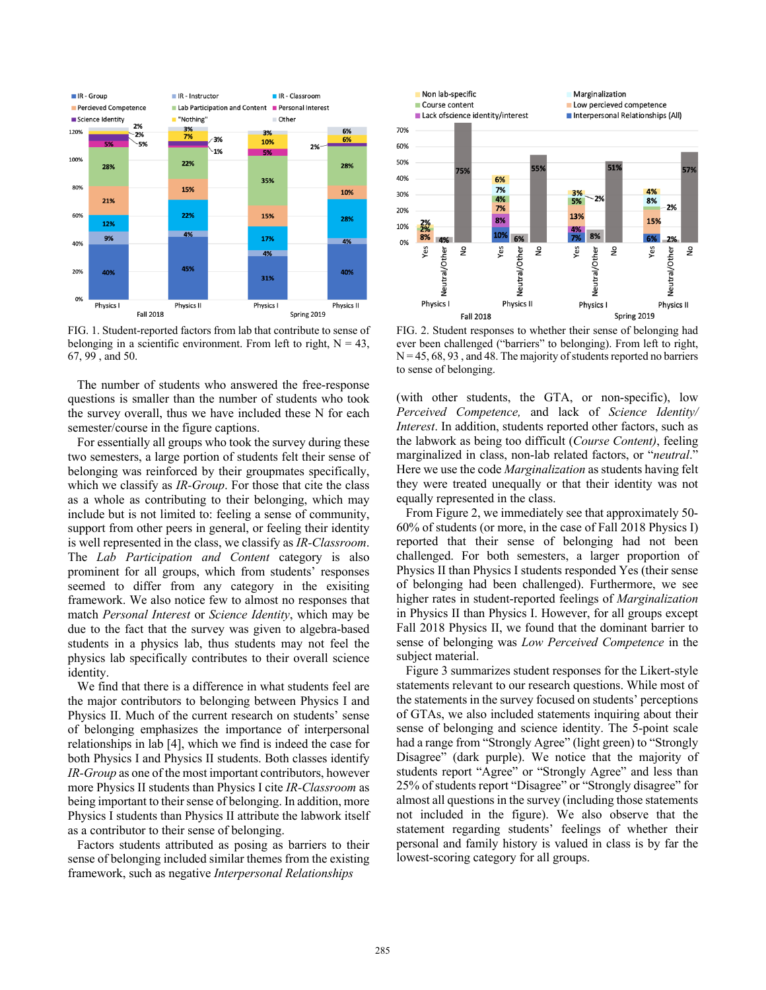

FIG. 1. Student-reported factors from lab that contribute to sense of belonging in a scientific environment. From left to right,  $N = 43$ , 67, 99 , and 50.

 The number of students who answered the free-response questions is smaller than the number of students who took the survey overall, thus we have included these N for each semester/course in the figure captions.

 For essentially all groups who took the survey during these two semesters, a large portion of students felt their sense of belonging was reinforced by their groupmates specifically, which we classify as *IR-Group*. For those that cite the class as a whole as contributing to their belonging, which may include but is not limited to: feeling a sense of community, support from other peers in general, or feeling their identity is well represented in the class, we classify as *IR-Classroom*. The *Lab Participation and Content* category is also prominent for all groups, which from students' responses seemed to differ from any category in the exisiting framework. We also notice few to almost no responses that match *Personal Interest* or *Science Identity*, which may be due to the fact that the survey was given to algebra-based students in a physics lab, thus students may not feel the physics lab specifically contributes to their overall science identity.

 We find that there is a difference in what students feel are the major contributors to belonging between Physics I and Physics II. Much of the current research on students' sense of belonging emphasizes the importance of interpersonal relationships in lab [4], which we find is indeed the case for both Physics I and Physics II students. Both classes identify *IR-Group* as one of the most important contributors, however more Physics II students than Physics I cite *IR-Classroom* as being important to their sense of belonging. In addition, more Physics I students than Physics II attribute the labwork itself as a contributor to their sense of belonging.

 Factors students attributed as posing as barriers to their sense of belonging included similar themes from the existing framework, such as negative *Interpersonal Relationships*



FIG. 2. Student responses to whether their sense of belonging had ever been challenged ("barriers" to belonging). From left to right,  $N = 45, 68, 93$ , and 48. The majority of students reported no barriers to sense of belonging.

(with other students, the GTA, or non-specific), low *Perceived Competence,* and lack of *Science Identity/ Interest*. In addition, students reported other factors, such as the labwork as being too difficult (*Course Content)*, feeling marginalized in class, non-lab related factors, or "*neutral*." Here we use the code *Marginalization* as students having felt they were treated unequally or that their identity was not equally represented in the class.

 From Figure 2, we immediately see that approximately 50- 60% of students (or more, in the case of Fall 2018 Physics I) reported that their sense of belonging had not been challenged. For both semesters, a larger proportion of Physics II than Physics I students responded Yes (their sense of belonging had been challenged). Furthermore, we see higher rates in student-reported feelings of *Marginalization* in Physics II than Physics I. However, for all groups except Fall 2018 Physics II, we found that the dominant barrier to sense of belonging was *Low Perceived Competence* in the subject material.

 Figure 3 summarizes student responses for the Likert-style statements relevant to our research questions. While most of the statements in the survey focused on students' perceptions of GTAs, we also included statements inquiring about their sense of belonging and science identity. The 5-point scale had a range from "Strongly Agree" (light green) to "Strongly Disagree" (dark purple). We notice that the majority of students report "Agree" or "Strongly Agree" and less than 25% of students report "Disagree" or "Strongly disagree" for almost all questions in the survey (including those statements not included in the figure). We also observe that the statement regarding students' feelings of whether their personal and family history is valued in class is by far the lowest-scoring category for all groups.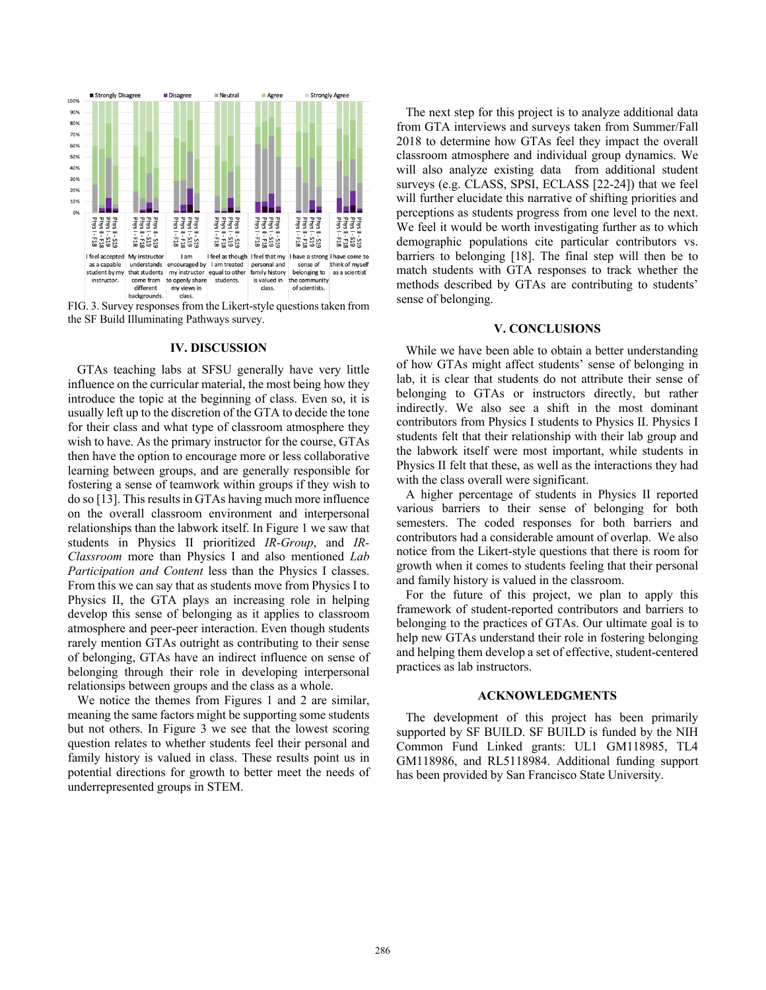

FIG. 3. Survey responses from the Likert-style questions taken from the SF Build Illuminating Pathways survey.

#### **IV. DISCUSSION**

 GTAs teaching labs at SFSU generally have very little influence on the curricular material, the most being how they introduce the topic at the beginning of class. Even so, it is usually left up to the discretion of the GTA to decide the tone for their class and what type of classroom atmosphere they wish to have. As the primary instructor for the course, GTAs then have the option to encourage more or less collaborative learning between groups, and are generally responsible for fostering a sense of teamwork within groups if they wish to do so [13]. This results in GTAs having much more influence on the overall classroom environment and interpersonal relationships than the labwork itself. In Figure 1 we saw that students in Physics II prioritized *IR-Group*, and *IR-Classroom* more than Physics I and also mentioned *Lab Participation and Content* less than the Physics I classes. From this we can say that as students move from Physics I to Physics II, the GTA plays an increasing role in helping develop this sense of belonging as it applies to classroom atmosphere and peer-peer interaction. Even though students rarely mention GTAs outright as contributing to their sense of belonging, GTAs have an indirect influence on sense of belonging through their role in developing interpersonal relationsips between groups and the class as a whole.

 We notice the themes from Figures 1 and 2 are similar, meaning the same factors might be supporting some students but not others. In Figure 3 we see that the lowest scoring question relates to whether students feel their personal and family history is valued in class. These results point us in potential directions for growth to better meet the needs of underrepresented groups in STEM.

 The next step for this project is to analyze additional data from GTA interviews and surveys taken from Summer/Fall 2018 to determine how GTAs feel they impact the overall classroom atmosphere and individual group dynamics. We will also analyze existing data from additional student surveys (e.g. CLASS, SPSI, ECLASS [22-24]) that we feel will further elucidate this narrative of shifting priorities and perceptions as students progress from one level to the next. We feel it would be worth investigating further as to which demographic populations cite particular contributors vs. barriers to belonging [18]. The final step will then be to match students with GTA responses to track whether the methods described by GTAs are contributing to students' sense of belonging.

#### **V. CONCLUSIONS**

 While we have been able to obtain a better understanding of how GTAs might affect students' sense of belonging in lab, it is clear that students do not attribute their sense of belonging to GTAs or instructors directly, but rather indirectly. We also see a shift in the most dominant contributors from Physics I students to Physics II. Physics I students felt that their relationship with their lab group and the labwork itself were most important, while students in Physics II felt that these, as well as the interactions they had with the class overall were significant.

 A higher percentage of students in Physics II reported various barriers to their sense of belonging for both semesters. The coded responses for both barriers and contributors had a considerable amount of overlap. We also notice from the Likert-style questions that there is room for growth when it comes to students feeling that their personal and family history is valued in the classroom.

 For the future of this project, we plan to apply this framework of student-reported contributors and barriers to belonging to the practices of GTAs. Our ultimate goal is to help new GTAs understand their role in fostering belonging and helping them develop a set of effective, student-centered practices as lab instructors.

#### **ACKNOWLEDGMENTS**

 The development of this project has been primarily supported by SF BUILD. SF BUILD is funded by the NIH Common Fund Linked grants: UL1 GM118985, TL4 GM118986, and RL5118984. Additional funding support has been provided by San Francisco State University.